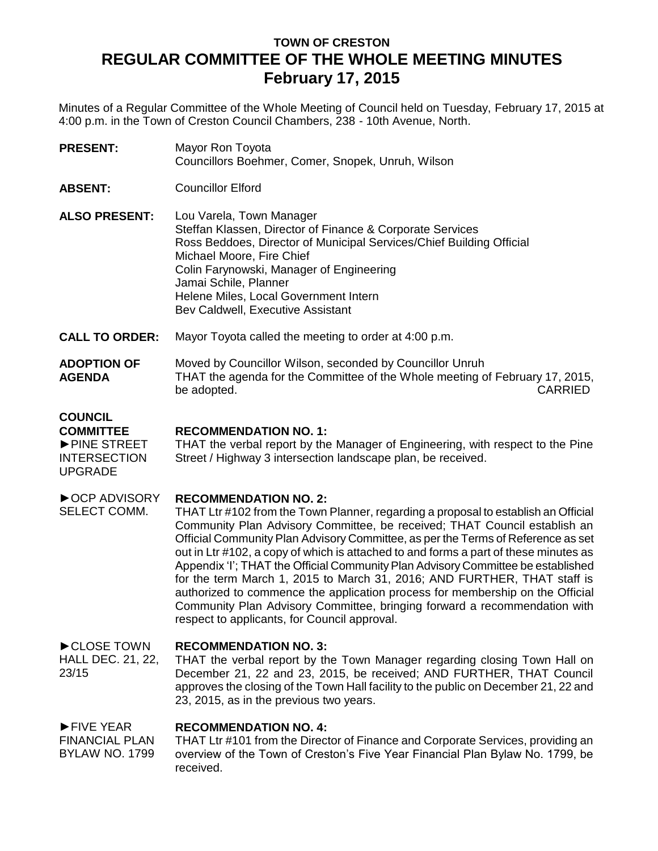# **TOWN OF CRESTON REGULAR COMMITTEE OF THE WHOLE MEETING MINUTES February 17, 2015**

Minutes of a Regular Committee of the Whole Meeting of Council held on Tuesday, February 17, 2015 at 4:00 p.m. in the Town of Creston Council Chambers, 238 - 10th Avenue, North.

| <b>PRESENT:</b>      | Mayor Ron Toyota<br>Councillors Boehmer, Comer, Snopek, Unruh, Wilson                                                                                                                                                                  |
|----------------------|----------------------------------------------------------------------------------------------------------------------------------------------------------------------------------------------------------------------------------------|
| <b>ABSENT:</b>       | <b>Councillor Elford</b>                                                                                                                                                                                                               |
| <b>ALSO PRESENT:</b> | Lou Varela, Town Manager<br>Steffan Klassen, Director of Finance & Corporate Services<br>Ross Beddoes, Director of Municipal Services/Chief Building Official<br>Michael Moore, Fire Chief<br>Colin Farynowski, Manager of Engineering |

Jamai Schile, Planner Helene Miles, Local Government Intern Bev Caldwell, Executive Assistant

**CALL TO ORDER:** Mayor Toyota called the meeting to order at 4:00 p.m.

### **ADOPTION OF AGENDA** Moved by Councillor Wilson, seconded by Councillor Unruh THAT the agenda for the Committee of the Whole meeting of February 17, 2015, be adopted. The contract of the contract of the contract of the contract of the contract of the contract of the contract of the contract of the contract of the contract of the contract of the contract of the contract of th

## **COUNCIL**

**COMMITTEE**

### **RECOMMENDATION NO. 1:**

►PINE STREET INTERSECTION UPGRADE THAT the verbal report by the Manager of Engineering, with respect to the Pine Street / Highway 3 intersection landscape plan, be received.

#### ►OCP ADVISORY **RECOMMENDATION NO. 2:**

SELECT COMM. THAT Ltr #102 from the Town Planner, regarding a proposal to establish an Official Community Plan Advisory Committee, be received; THAT Council establish an Official Community Plan Advisory Committee, as per the Terms of Reference as set out in Ltr #102, a copy of which is attached to and forms a part of these minutes as Appendix 'I'; THAT the Official Community Plan Advisory Committee be established for the term March 1, 2015 to March 31, 2016; AND FURTHER, THAT staff is authorized to commence the application process for membership on the Official Community Plan Advisory Committee, bringing forward a recommendation with respect to applicants, for Council approval.

#### ►CLOSE TOWN **RECOMMENDATION NO. 3:**

HALL DEC. 21, 22, 23/15 THAT the verbal report by the Town Manager regarding closing Town Hall on December 21, 22 and 23, 2015, be received; AND FURTHER, THAT Council approves the closing of the Town Hall facility to the public on December 21, 22 and 23, 2015, as in the previous two years.

#### ►FIVE YEAR **RECOMMENDATION NO. 4:**

FINANCIAL PLAN BYLAW NO. 1799 THAT Ltr #101 from the Director of Finance and Corporate Services, providing an overview of the Town of Creston's Five Year Financial Plan Bylaw No. 1799, be received.